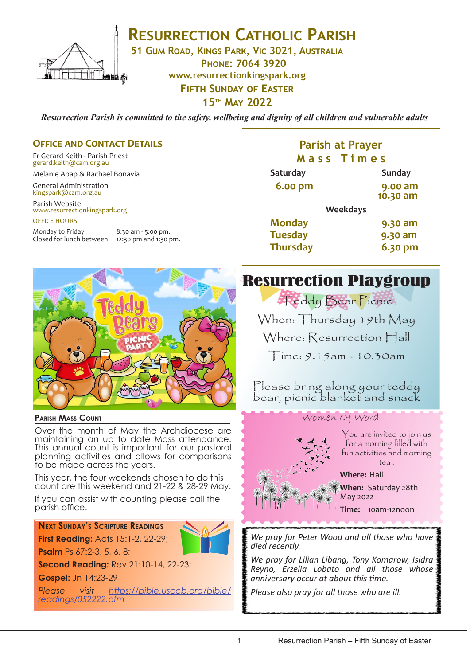

**RESURRECTION CATHOLIC PARISH** 

**51 Gum Road, Kings Park, Vic 3021, Australia**

**Phone: 7064 3920 www.resurrectionkingspark.org Fifth Sunday of Easter**

**15th May 2022**

*Resurrection Parish is committed to the safety, wellbeing and dignity of all children and vulnerable adults*

## **OFFICE AND CONTACT DETAILS**

Fr Gerard Keith - Parish Priest gerard.keith@cam.org.au

Melanie Apap & Rachael Bonavia

General Administration kingspark@cam.org.au

Parish Website www.resurrectionkingspark.org OFFICE HOURS

Monday to Friday 8:30 am - 5:00 pm.<br>Closed for lunch between 12:30 pm and 1:30 pm. Closed for lunch between

## **Parish at Prayer M a s s T i m e s**

| <b>Saturday</b> |                 | <b>Sunday</b>       |
|-----------------|-----------------|---------------------|
| <b>6.00 pm</b>  |                 | 9.00 am<br>10.30 am |
|                 | <b>Weekdays</b> |                     |
| <b>Monday</b>   |                 | 9.30 am             |
| <b>Tuesday</b>  |                 | 9.30 am             |
| <b>Thursday</b> |                 | 6.30 pm             |



#### **Parish Mass Count**

Over the month of May the Archdiocese are maintaining an up to date Mass attendance. This annual count is important for our pastoral planning activities and allows for comparisons to be made across the years.

This year, the four weekends chosen to do this count are this weekend and 21-22 & 28-29 May.

If you can assist with counting please call the parish office.

## **Next Sunday's Scripture Readings First Reading:** Acts 15:1-2, 22-29;



**Second Reading:** Rev 21:10-14, 22-23;

**Gospel:** Jn 14:23-29

**Psalm** Ps 67:2-3, 5, 6, 8;

*Please visit https://bible.usccb.org/bible/ readings/052222.cfm*

# Resurrection Playgroup

**Teddy Bear Picnic** When: Thursday 19th May Where: Resurrection Hall

 $Time: 9.15$ am - 10.30am

Please bring along your teddy bear, picnic blanket and snack

## Women Of Word



You are invited to join us for a morning filled with fun activities and morning tea .

**Where:** Hall

**When:** Saturday 28th May 2022

**Time:** 10am-12noon

*We pray for Peter Wood and all those who have died recently.* 

*We pray for Lilian Libang, Tony Komarow, Isidra Reyno, Erzelia Lobato and all those whose anniversary occur at about this time.*

*Please also pray for all those who are ill.*